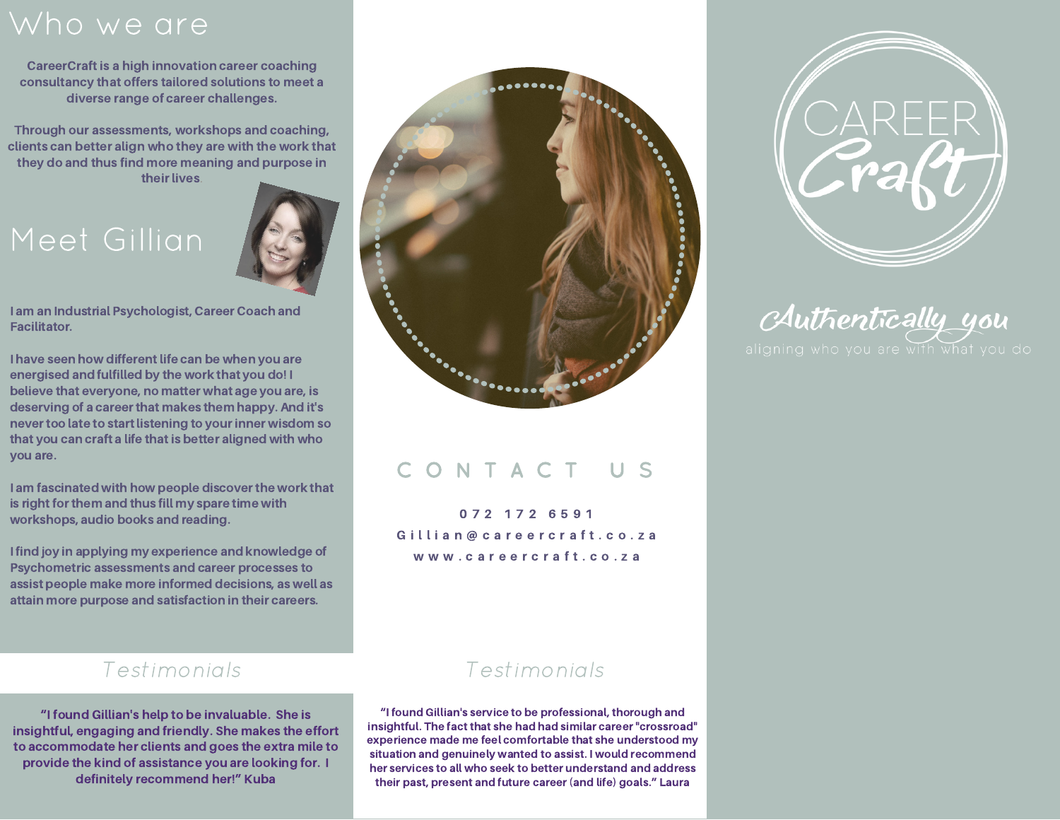# Who we are

CareerCraft is a high innovation career coaching consultancy that offers tailored solutions to meet a diverse range of career challenges.

Through our assessments, workshops and coaching, clients can better align who they are with the work that they do and thus find more meaning and purpose in their lives.

# Meet Gillian



I am an Industrial Psychologist, Career Coach and Facilitator.

I have seen how different life can be when you are energised and fulfilled by the work that you do! I believe that everyone, no matter what age you are, is deserving of a career that makes them happy. And it's never too late to start listening to your inner wisdom so that you can craft a life that is better aligned with who you are.

I am fascinated with how people discover the work that is right for them and thus fill my spare time with workshops, audio books and reading.

I find joy in applying my experience and knowledge of Psychometric assessments and career processes to assist people make more informed decisions, as well as attain more purpose and satisfaction in their careers.



## C O N T A C T U S

0 7 2 1 7 2 6 5 9 1 Gillian@careercraft.co.za www.careercraft.co.za

### Testimonials

"I found Gillian's help to be invaluable. She is insightful, engaging and friendly. She makes the effort to accommodate her clients and goes the extra mile to provide the kind of assistance you are looking for. I definitely recommend her!" Kuba

### Testimonials

"I found Gillian's service to be professional, thorough and insightful. The fact that she had had similar career "crossroad" experience made me feel comfortable that she understood my situation and genuinely wanted to assist. I would recommend her services to all who seek to better understand and address their past, present and future career (and life) goals." Laura



Authentically you